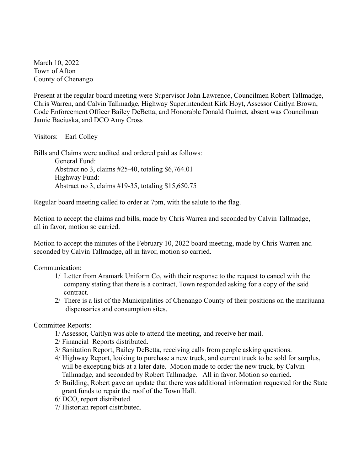March 10, 2022 Town of Afton County of Chenango

Present at the regular board meeting were Supervisor John Lawrence, Councilmen Robert Tallmadge, Chris Warren, and Calvin Tallmadge, Highway Superintendent Kirk Hoyt, Assessor Caitlyn Brown, Code Enforcement Officer Bailey DeBetta, and Honorable Donald Ouimet, absent was Councilman Jamie Baciuska, and DCO Amy Cross

Visitors: Earl Colley

Bills and Claims were audited and ordered paid as follows: General Fund: Abstract no 3, claims #25-40, totaling \$6,764.01 Highway Fund: Abstract no 3, claims #19-35, totaling \$15,650.75

Regular board meeting called to order at 7pm, with the salute to the flag.

Motion to accept the claims and bills, made by Chris Warren and seconded by Calvin Tallmadge, all in favor, motion so carried.

Motion to accept the minutes of the February 10, 2022 board meeting, made by Chris Warren and seconded by Calvin Tallmadge, all in favor, motion so carried.

Communication:

- 1/ Letter from Aramark Uniform Co, with their response to the request to cancel with the company stating that there is a contract, Town responded asking for a copy of the said contract.
- 2/ There is a list of the Municipalities of Chenango County of their positions on the marijuana dispensaries and consumption sites.

Committee Reports:

- 1/ Assessor, Caitlyn was able to attend the meeting, and receive her mail.
- 2/ Financial Reports distributed.
- 3/ Sanitation Report, Bailey DeBetta, receiving calls from people asking questions.
- 4/ Highway Report, looking to purchase a new truck, and current truck to be sold for surplus, will be excepting bids at a later date. Motion made to order the new truck, by Calvin Tallmadge, and seconded by Robert Tallmadge. All in favor. Motion so carried.
- 5/ Building, Robert gave an update that there was additional information requested for the State grant funds to repair the roof of the Town Hall.
- 6/ DCO, report distributed.
- 7/ Historian report distributed.